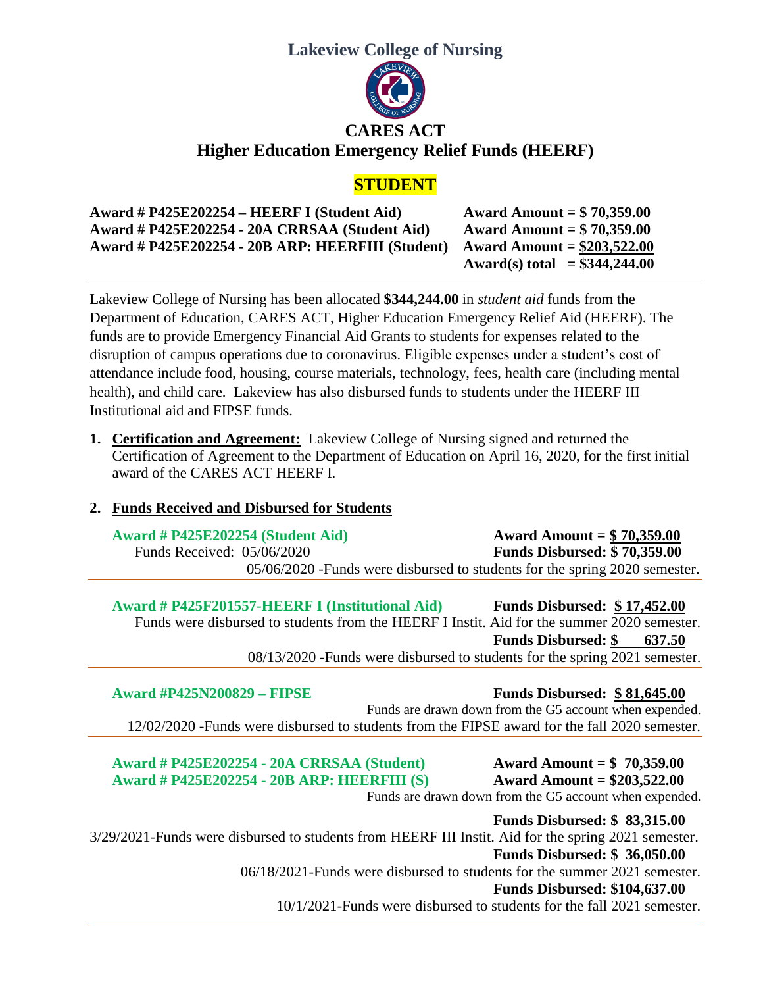

| Award # P425E202254 – HEERF I (Student Aid)       | Award Amount = $$70,359.00$    |
|---------------------------------------------------|--------------------------------|
| Award # P425E202254 - 20A CRRSAA (Student Aid)    | Award Amount = $$70,359.00$    |
| Award # P425E202254 - 20B ARP: HEERFIII (Student) | Award Amount = $$203,522.00$   |
|                                                   | Award(s) total = $$344,244.00$ |

Lakeview College of Nursing has been allocated **\$344,244.00** in *student aid* funds from the Department of Education, CARES ACT, Higher Education Emergency Relief Aid (HEERF). The funds are to provide Emergency Financial Aid Grants to students for expenses related to the disruption of campus operations due to coronavirus. Eligible expenses under a student's cost of attendance include food, housing, course materials, technology, fees, health care (including mental health), and child care. Lakeview has also disbursed funds to students under the HEERF III Institutional aid and FIPSE funds.

**1. Certification and Agreement:** Lakeview College of Nursing signed and returned the Certification of Agreement to the Department of Education on April 16, 2020, for the first initial award of the CARES ACT HEERF I.

## **2. Funds Received and Disbursed for Students**

**Award # P425E202254 (Student Aid) Award Amount = \$ 70,359.00**  Funds Received: 05/06/2020 **Funds Disbursed: \$ 70,359.00** 05/06/2020 -Funds were disbursed to students for the spring 2020 semester.

**Award # P425F201557-HEERF I (Institutional Aid) Funds Disbursed: \$ 17,452.00** Funds were disbursed to students from the HEERF I Instit. Aid for the summer 2020 semester. **Funds Disbursed: \$ 637.50** 08/13/2020 -Funds were disbursed to students for the spring 2021 semester.

 **Award #P425N200829 – FIPSE Funds Disbursed: \$ 81,645.00** Funds are drawn down from the G5 account when expended. 12/02/2020 **-**Funds were disbursed to students from the FIPSE award for the fall 2020 semester.

**Award # P425E202254 - 20A CRRSAA (Student) Award Amount = \$ 70,359.00 Award # P425E202254 - 20B ARP: HEERFIII (S) Award Amount = \$203,522.00**

Funds are drawn down from the G5 account when expended.

**Funds Disbursed: \$ 83,315.00** 3/29/2021-Funds were disbursed to students from HEERF III Instit. Aid for the spring 2021 semester. **Funds Disbursed: \$ 36,050.00** 06/18/2021-Funds were disbursed to students for the summer 2021 semester. **Funds Disbursed: \$104,637.00**

10/1/2021-Funds were disbursed to students for the fall 2021 semester.